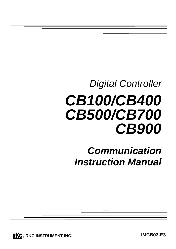# *Digital Controller CB100/CB400 CB500/CB700 CB900*

*Communication Instruction Manual*

**RKC**. RKC INSTRUMENT INC.

**IMCB03-E3**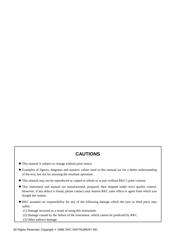#### **CAUTIONS**

- ! This manual is subject to change without prior notice.
- ! Examples of figures, diagrams and numeric values used in this manual are for a better understanding of the text, but not for assuring the resultant operation.
- ! This manual may not be reproduced or copied in whole or in part without RKC's prior consent.
- ! This instrument and manual are manufactured, prepared, then shipped under strict quality control. However, if any defect is found, please contact your nearest RKC sales office or agent from which you bought the system.
- ! RKC assumes no responsibility for any of the following damage which the user or third party may suffer.
	- (1) Damage incurred as a result of using this instrument.
	- (2) Damage caused by the failure of the instrument, which cannot be predicted by RKC.
	- (3) Other indirect damage.

All Rights Reserved, Copyright © 1998, RKC INSTRUMENT INC.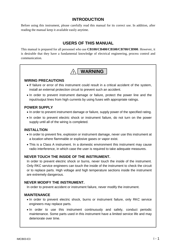#### **INTRODUCTION**

Before using this instrument, please carefully read this manual for its correct use. In addition, after reading the manual keep it available easily anytime.

#### **USERS OF THIS MANUAL**

This manual is prepared for all personnel who use **CB100/CB400/CB500/CB700/CB900**. However, it is desirable that they have a fundamental knowledge of electrical engineering, process control and communication.

#### **! WARNING**

#### **WIRING PRECAUTIONS**

- ! If failure or error of this instrument could result in a critical accident of the system, install an external protection circuit to prevent such an accident.
- ! In order to prevent instrument damage or failure, protect the power line and the input/output lines from high currents by using fuses with appropriate ratings.

#### **POWER SUPPLY**

• In order to prevent instrument damage or failure, supply power of the specified rating.

! In order to prevent electric shock or instrument failure, do not turn on the power supply until all of the wiring is completed.

#### **INSTALLTION**

- ! In order to prevent fire, explosion or instrument damage, never use this instrument at a location where flammable or explosive gases or vapor exist.
- ! This is a Class A instrument. In a domestic environment this instrument may cause radio interference, in which case the user is required to take adequate measures.

#### **NEVER TOUCH THE INSIDE OF THE INSTRUMENT.**

In order to prevent electric shock or burns, never touch the inside of the instrument. Only RKC service engineers can touch the inside of the instrument to check the circuit or to replace parts. High voltage and high temperature sections inside the instrument are extremely dangerous.

#### **NEVER MODIFY THE INSTRUMENT.**

In order to prevent accident or instrument failure, never modify the instrument.

#### **MAINTENANCE**

- ! In order to prevent electric shock, burns or instrument failure, only RKC service engineers may replace parts.
- In order to use this instrument continuously and safely, conduct periodic maintenance. Some parts used in this instrument have a limited service life and may deteriorate over time.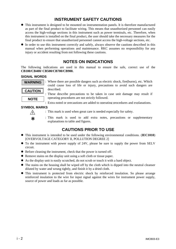#### **INSTRUMENT SAFETY CAUTIONS**

- ! This instrument is designed to be mounted on instrumentation panels. It is therefore manufactured as part of the final product to facilitate wiring. This means that unauthorized personnel can easily access the high-voltage sections in this instrument such as power terminals, etc. Therefore, when this instrument is installed on the final product, the user should take the necessary measures for the final product to ensure that unauthorized personnel cannot access the high-voltage sections, etc.
- In order to use this instrument correctly and safely, always observe the cautions described in this manual when performing operations and maintenance. RKC assumes no responsibility for any injury or accident resulting from not following these cautions.

#### **NOTES ON INDICATIONS**

The following indications are used in this manual to ensure the safe, correct use of the **CB100/CB400/ CB500/CB700/CB900.**

#### **SIGNAL WORDS**



: Where there are possible dangers such as electric shock, fire(burns), etc. Which could cause loss of life or injury, precautions to avoid such dangers are described.

: These describe precautions to be taken in case unit damage may result if operating procedures are not strictly followed.

: Extra noted or precautions are added to operating procedures and explanations.

#### **SYMBOL MARKS**



- : This mark is used when great care is needed especially for safety.
- : This mark is used to add extra notes, precautions or supplementary explanations to table and figures.

#### **CAUTIONS PRIOR TO USE**

- ! This instrument is intended to be used under the following environmental conditions. (**IEC1010**) [OVERVOLTAGE CATEGORY II, POLLUTION DEGREE 2]
- To the instrument with power supply of 24V, please be sure to supply the power from SELV circuit.
- ! Before cleaning the instrument, check that the power is turned off.
- Remove stains on the display unit using a soft cloth or tissue paper.
- ! As the display unit is easily scratched, do not scrub or touch it with a hard object.
- The stains on the housing shall be wiped off by the cloth which is dipped into the neutral cleanser diluted by water and wrung tightly, and finish it by a dried cloth.
- ! This instrument is protected from electric shock by reinforced insulation. So please arrange reinforced insulation to the wire for input signal against the wires for instrument power supply, source of power and loads as far as possible.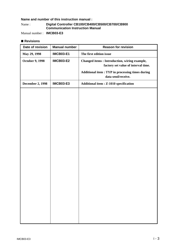#### **Name and number of this instruction manual :**

Name : **Digital Controller CB100/CB400/CB500/CB700/CB900 Communication Instruction Manual**

Manual number : **IMCB03-E3**

#### ■ Revisions

| Date of revision        | <b>Manual number</b> | <b>Reason for revision</b>                                                                 |
|-------------------------|----------------------|--------------------------------------------------------------------------------------------|
| May 29, 1998            | <b>IMCB03-E1</b>     | The first edition issue                                                                    |
| <b>October 9, 1998</b>  | <b>IMCB03-E2</b>     | <b>Changed items: Introduction, wiring example,</b><br>factory set value of interval time. |
|                         |                      | <b>Additional item : TYP in processing times during</b><br>data send/receive.              |
| <b>December 2, 1998</b> | <b>IMCB03-E3</b>     | <b>Additional item : Z-1010 specification</b>                                              |
|                         |                      |                                                                                            |
|                         |                      |                                                                                            |
|                         |                      |                                                                                            |
|                         |                      |                                                                                            |
|                         |                      |                                                                                            |
|                         |                      |                                                                                            |
|                         |                      |                                                                                            |
|                         |                      |                                                                                            |
|                         |                      |                                                                                            |
|                         |                      |                                                                                            |
|                         |                      |                                                                                            |
|                         |                      |                                                                                            |
|                         |                      |                                                                                            |
|                         |                      |                                                                                            |
|                         |                      |                                                                                            |
|                         |                      |                                                                                            |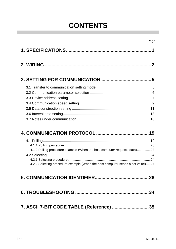### **CONTENTS**

| 19 |
|----|

| 4.1.2 Polling procedure example (When the host computer requests data)23       |  |
|--------------------------------------------------------------------------------|--|
|                                                                                |  |
|                                                                                |  |
| 4.2.2 Selecting procedure example (When the host computer sends a set value)27 |  |

|--|--|

| 7. ASCII 7-BIT CODE TABLE (Reference) 35 |  |
|------------------------------------------|--|
|------------------------------------------|--|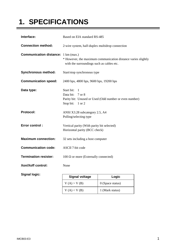### **1. SPECIFICATIONS**

| Interface:                                 | Based on EIA standard RS-485                                                                                            |                    |  |  |
|--------------------------------------------|-------------------------------------------------------------------------------------------------------------------------|--------------------|--|--|
| <b>Connection method:</b>                  | 2-wire system, half-duplex multidrop connection                                                                         |                    |  |  |
| <b>Communication distance:</b> 1 km (max.) | * However, the maximum communication distance varies slightly<br>with the surroundings such as cables etc.              |                    |  |  |
| <b>Synchronous method:</b>                 | Start/stop synchronous type                                                                                             |                    |  |  |
| <b>Communication speed:</b>                | 2400 bps, 4800 bps, 9600 bps, 19200 bps                                                                                 |                    |  |  |
| Data type:                                 | Start bit:<br>1<br>Data bit:<br>7 or 8<br>Parity bit: Unused or Used (Odd number or even number)<br>Stop bit:<br>1 or 2 |                    |  |  |
| <b>Protocol:</b>                           | ANSI X3.28 subcategory 2.5, A4<br>Polling/selecting type                                                                |                    |  |  |
| <b>Error control:</b>                      | Vertical parity (With parity bit selected)<br>Horizontal parity (BCC check)                                             |                    |  |  |
| <b>Maximum connection:</b>                 | 32 sets including a host computer                                                                                       |                    |  |  |
| <b>Communication code:</b>                 | <b>ASCII 7-bit code</b>                                                                                                 |                    |  |  |
| <b>Termination resister:</b>               | 100 $\Omega$ or more (Externally connected)                                                                             |                    |  |  |
| Xon/Xoff control:                          | None                                                                                                                    |                    |  |  |
| <b>Signal logic:</b>                       | <b>Signal voltage</b><br>Logic                                                                                          |                    |  |  |
|                                            | V(A) > V(B)                                                                                                             | $0$ (Space status) |  |  |

 $V(A) < V(B)$  1 (Mark status)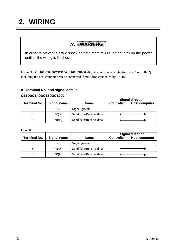### **2. WIRING**

### **! WARNING**

In order to prevent electric shock or instrument failure, do not turn on the power until all the wiring is finished.

Up to 32 **CB100/CB400/CB500/CB700/CB900** digital controller (hereinafter, the "controller") including the host computer can be connected if multidrop connected by RS-485.

#### ! **Terminal No. and signal details**

#### **CB100/CB400/CB500/CB900**

| <b>Terminal No.</b> | <b>Signal name</b> | <b>Name</b>            | <b>Controller</b> | <b>Signal direction</b><br><b>Host computer</b> |
|---------------------|--------------------|------------------------|-------------------|-------------------------------------------------|
| 13                  | SG                 | Signal ground          |                   |                                                 |
| 14                  | T/R(A)             | Send data/Receive data |                   |                                                 |
| 15                  | T/R(B)             | Send data/Receive data |                   |                                                 |

#### **CB700**

| <b>Terminal No.</b> | Signal name | <b>Name</b>            | <b>Signal direction</b><br><b>Host computer</b><br><b>Controller</b> |  |
|---------------------|-------------|------------------------|----------------------------------------------------------------------|--|
|                     | SG          | Signal ground          |                                                                      |  |
| 8                   | T/R(A)      | Send data/Receive data |                                                                      |  |
|                     | T/R(B)      | Send data/Receive data |                                                                      |  |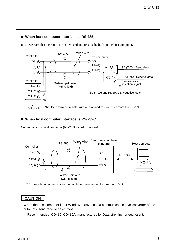#### ■ When host computer interface is RS-485

It is necessary that a circuit to transfer send and receive be built-in the host computer.



#### ! **When host computer interface is RS-232C**

Communication level converter (RS-232C/RS-485) is used.



 $*R$ : Use a terminal resistor with a combined resistance of more than 100  $\Omega$ .

#### **CAUTION**

When the host computer is for Windows 95/NT, use a communication level converter of the automatic send/receive select type.

Recommended: CD485, CD485/V manufactured by Data Link, Inc. or equivalent.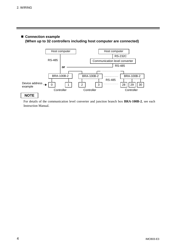#### ! **Connection example (When up to 32 controllers including host computer are connected)**



For details of the communication level converter and junction branch box **BRA-100B-2**, see each Instruction Manual.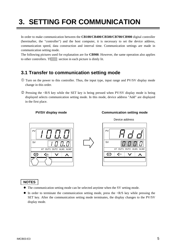### **3. SETTING FOR COMMUNICATION**

In order to make communication between the **CB100/CB400/CB500/CB700/CB900** digital controller (hereinafter, the "controller") and the host computer, it is necessary to set the device address, communication speed, data construction and interval time. Communication settings are made in communication setting mode.

The following pictures used for explanation are for **CB900**. However, the same operation also applies to other controllers. The section in each picture is dimly lit.

#### **3.1 Transfer to communication setting mode**

- $\overline{O}$  Turn on the power to this controller. Thus, the input type, input range and PV/SV display mode change in this order.
- $\circled{2}$  Pressing the  $\langle R/S \rangle$  key while the SET key is being pressed when PV/SV display mode is being displayed selects communication setting mode. In this mode, device address "Add" are displayed in the first place.

#### **PV/SV display mode Communication setting mode**







#### **NOTES**

- The communication setting mode can be selected anytime when the SV setting mode.
- $\bullet$  In order to terminate the communication setting mode, press the  $\langle R/S \rangle$  key while pressing the SET key. After the communication setting mode terminates, the display changes to the PV/SV display mode.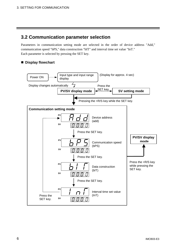#### **3.2 Communication parameter selection**

Parameters in communication setting mode are selected in the order of device address "Add," communication speed "bPS," data construction "bIT" and interval time set value "InT." Each parameter is selected by pressing the SET key.

#### ! **Display flowchart**

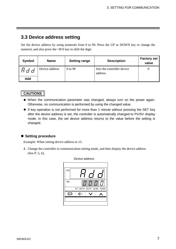#### **3.3 Device address setting**

Set the device address by using numerals from 0 to 99. Press the UP or DOWN key to change the numeral, and also press the <R/S key to shift the digit.

| <b>Symbol</b> | <b>Name</b>    | <b>Setting range</b> | <b>Description</b>                     | <b>Factory set</b><br>value |
|---------------|----------------|----------------------|----------------------------------------|-----------------------------|
| ៲ឣႻႻ          | Device address | 0 to 99              | Sets the controller device<br>address. |                             |
| <b>Add</b>    |                |                      |                                        |                             |

#### **CAUTIONS**

- % When the communication parameter was changed, always turn on the power again. Otherwise, no communication is performed by using the changed value.
- % If key operation is not performed for more than 1 minute without pressing the SET key after the device address is set, the controller is automatically changed to PV/SV display mode. In this case, the set device address returns to the value before the setting is changed.

#### ■ Setting procedure

Example: When setting device address to 15.

*1.* Change the controller to communication setting mode, and then display the device address (See P. 5, 6).



#### Device address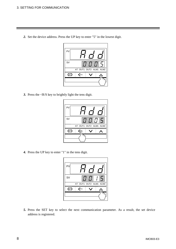*2.* Set the device address. Press the UP key to enter "5" in the lowest digit.



*3.* Press the <R/S key to brightly light the tens digit.



*4.* Press the UP key to enter "1" in the tens digit.



*5.* Press the SET key to select the next communication parameter. As a result, the set device address is registered.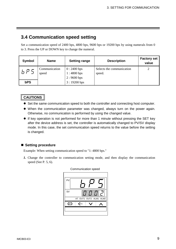#### **3.4 Communication speed setting**

Set a communication speed of 2400 bps, 4800 bps, 9600 bps or 19200 bps by using numerals from 0 to 3. Press the UP or DOWN key to change the numeral.

| Symbol     | <b>Name</b>            | <b>Setting range</b>                       | <b>Description</b>                  | <b>Factory set</b><br>value |
|------------|------------------------|--------------------------------------------|-------------------------------------|-----------------------------|
|            | Communication<br>speed | $0:2400$ bps<br>1:4800 bps<br>$2:9600$ bps | Selects the communication<br>speed. |                             |
| <b>bPS</b> |                        | $3:19200$ bps                              |                                     |                             |

#### **CAUTIONS**

- Set the same communication speed to both the controller and connecting host computer.
- % When the communication parameter was changed, always turn on the power again. Otherwise, no communication is performed by using the changed value.
- If key operation is not performed for more than 1 minute without pressing the SET key after the device address is set, the controller is automatically changed to PV/SV display mode. In this case, the set communication speed returns to the value before the setting is changed.

#### ■ Setting procedure

Example: When setting communication speed to "1: 4800 bps."

*1.* Change the controller to communication setting mode, and then display the communication speed (See P. 5, 6).



#### Communication speed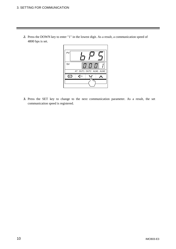- $GF \mid \langle R/S \rangle$ SV PV AT OUT1 OUT2 ALM1 ALM2
- *2.* Press the DOWN key to enter "1" in the lowest digit. As a result, a communication speed of 4800 bps is set.

*3.* Press the SET key to change to the next communication parameter. As a result, the set communication speed is registered.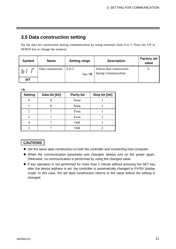#### **3.5 Data construction setting**

Set the data bit construction during communication by using numerals from 0 to 5. Press the UP or DOWN key to change the numeral.

| Symbol | <b>Name</b>       | <b>Setting range</b>         | <b>Description</b>                                 | <b>Factory set</b><br>value |
|--------|-------------------|------------------------------|----------------------------------------------------|-----------------------------|
|        | Data construction | $0$ to 5<br>See $*$ <b>A</b> | Selects data construction<br>during communication. |                             |
| bIT    |                   |                              |                                                    |                             |

\***A**

| <b>Setting</b> | Data bit [bit] | <b>Parity bit</b> | Stop bit [bit] |
|----------------|----------------|-------------------|----------------|
|                |                | None              |                |
|                |                | None              |                |
| 2              |                | Even              |                |
| 3              |                | Even              |                |
| 4              |                | Odd               |                |
|                |                | Odd               |                |

#### **CAUTIONS**

- Set the same data construction to both the controller and connecting host computer.
- % When the communication parameter was changed, always turn on the power again. Otherwise, no communication is performed by using the changed value.
- % If key operation is not performed for more than 1 minute without pressing the SET key after the device address is set, the controller is automatically changed to PV/SV display mode. In this case, the set data construction returns to the value before the setting is changed.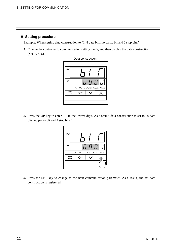#### ■ Setting procedure

Example: When setting data construction to "1: 8 data bits, no parity bit and 2 stop bits."

*1.* Change the controller to communication setting mode, and then display the data construction (See P. 5, 6).



*2.* Press the UP key to enter "1" in the lowest digit. As a result, data construction is set to "8 data bits, no parity bit and 2 stop bits."



*3.* Press the SET key to change to the next communication parameter. As a result, the set data construction is registered.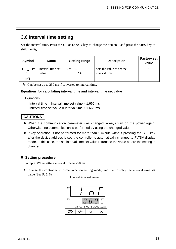#### **3.6 Interval time setting**

Set the interval time. Press the UP or DOWN key to change the numeral, and press the <R/S key to shift the digit.

| Symbol | <b>Name</b>                | <b>Setting range</b> | <b>Description</b>                          | <b>Factory set</b><br>value |
|--------|----------------------------|----------------------|---------------------------------------------|-----------------------------|
| гı і   | Interval time set<br>value | 0 to 150<br>*Α       | Sets the value to set the<br>interval time. |                             |
| InT    |                            |                      |                                             |                             |

\***A** : Can be set up to 250 ms if converted to interval time.

#### **Equations for calculating interval time and interval time set value**

Equations :

Interval time = Interval time set value  $\times$  1.666 ms Interval time set value = Interval time  $\div$  1.666 ms

#### **CAUTIONS**

- When the communication parameter was changed, always turn on the power again. Otherwise, no communication is performed by using the changed value.
- If key operation is not performed for more than 1 minute without pressing the SET key after the device address is set, the controller is automatically changed to PV/SV display mode. In this case, the set interval time set value returns to the value before the setting is changed.

#### ■ Setting procedure

Example: When setting interval time to 250 ms.

*1.* Change the controller to communication setting mode, and then display the interval time set value (See P. 5, 6).

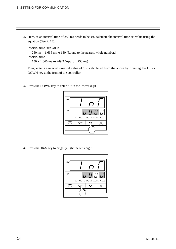*2.* Here, as an interval time of 250 ms needs to be set, calculate the interval time set value using the equation (See P. 13).

Interval time set value:

 $250 \text{ ms} \div 1.666 \text{ ms} \div 150 \text{ (Round to the nearest whole number.)}$ Interval time:

 $150 \times 1.666 \text{ ms } \rightleftharpoons 249.9 \text{ (Approx. 250 ms)}$ 

Thus, enter an interval time set value of 150 calculated from the above by pressing the UP or DOWN key at the front of the controller.

*3.* Press the DOWN key to enter "0" in the lowest digit.



*4.* Press the <R/S key to brightly light the tens digit.

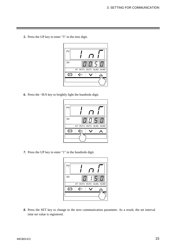*5.* Press the UP key to enter "5" in the tens digit.



*6.* Press the <R/S key to brightly light the hundreds digit.



*7.* Press the UP key to enter "1" in the hundreds digit.



*8.* Press the SET key to change to the next communication parameter. As a result, the set interval time set value is registered.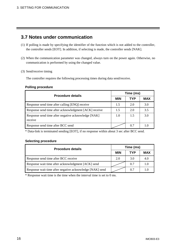#### **3.7 Notes under communication**

- (1) If polling is made by specifying the identifier of the function which is not added to the controller, the controller sends [EOT]. In addition, if selecting is made, the controller sends [NAK].
- (2) When the communication parameter was changed, always turn on the power again. Otherwise, no communication is performed by using the changed value.
- (3) Send/receive timing

The controller requires the following processing times during data send/receive.

#### **Polling procedure**

| <b>Procedure details</b>                                       | Time (ms)  |     |            |  |
|----------------------------------------------------------------|------------|-----|------------|--|
|                                                                | <b>MIN</b> | TYP | <b>MAX</b> |  |
| Response send time after calling [ENQ] receive                 | 1.5        | 2.0 | 3.0        |  |
| Response send time after acknowledgment [ACK] receive          | 1.5        | 2.0 | 3.5        |  |
| Response send time after negative acknowledge [NAK]<br>receive | 1.0        | 1.5 | 3.0        |  |
| Response send time after BCC send                              |            | 0.7 | 10         |  |

\* Data-link is terminated sending [EOT], if no response within about 3 sec after BCC send.

#### **Selecting procedure**

| <b>Procedure details</b>                                 | Time (ms)  |     |            |  |  |
|----------------------------------------------------------|------------|-----|------------|--|--|
|                                                          | <b>MIN</b> | TYP | <b>MAX</b> |  |  |
| Response send time after BCC receive                     | 2.0        | 3.0 | 4.0        |  |  |
| Response wait time after acknowledgment [ACK] send       |            | 0.7 | 1.0        |  |  |
| Response wait time after negative acknowledge [NAK] send |            | 0.7 | 1.0        |  |  |

\* Response wait time is the time when the interval time is set to 0 ms.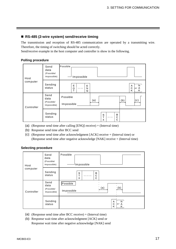#### ■ RS-485 (2-wire system) send/receive timing

The transmission and reception of RS-485 communication are operated by a transmitting wire. Therefore, the timing of switching should be acted correctly.

Send/receive example in the host computer and controller is show in the following.

#### **Polling procedure**

| Host       | Send<br>data<br>(Possible/<br>Impossible) | Possible<br>Impossible                                                 |
|------------|-------------------------------------------|------------------------------------------------------------------------|
| computer   | Sending<br>status                         | N<br>Е<br>Е<br>Α<br> or A<br>C<br>$\circ$<br>N<br><br>ĸ<br>т<br>Κ<br>Q |
| Controller | Send<br>data<br>(Possible/<br>Impossible) | Possible<br>(c)<br>(a)<br>(b)<br>Impossible                            |
|            | Sending<br>status                         | s<br>B<br>т<br>C<br><br>C<br>Х                                         |

- (a): (Response send time after calling [ENQ] receive) + (Interval time)
- (b): Response send time after BCC send
- (c): (Response send time after acknowledgment [ACK] receive + (Interval time) or (Response send time after negative acknowledge [NAK] receive + (Interval time)

#### **Selecting procedure**

| Host       | Send<br>data<br>(Possible/<br>Impossible) | Possible<br>Impossible                      |
|------------|-------------------------------------------|---------------------------------------------|
| computer   | Sending<br>status                         | s<br>в<br>С<br>т<br><br>X<br>С              |
| Controller | Send<br>data<br>(Possible/<br>Impossible) | Possible<br>(a)<br>(b)<br>Impossible        |
|            | Sending<br>status                         | A<br>N<br>C<br>$ $ or $\bigwedge$<br>Κ<br>Κ |

- (a): (Response send time after BCC receive) + (Interval time)
- (b): Response wait time after acknowledgment [ACK] send or Response wait time after negative acknowledge [NAK] send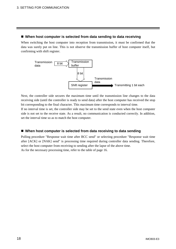#### ■ When host computer is selected from data sending to data receiving

When switching the host computer into reception from transmission, it must be confirmed that the data was surely put on line. This is not observe the transmission buffer of host computer itself, but confirming with shift register.



Next, the controller side secures the maximum time until the transmission line changes to the data receiving side (until the controller is ready to send data) after the host computer has received the stop bit corresponding to the final character. This maximum time corresponds to interval time.

If no interval time is set, the controller side may be set to the send state even when the host computer side is not set to the receive state. As a result, no communication is conducted correctly. In addition, set the interval time so as to match the host computer.

#### ■ When host computer is selected from data receiving to data sending

Polling procedure "Response wait time after BCC send" or selecting procedure "Response wait time after [ACK] or [NAK] send" is processing time required during controller data sending. Therefore, select the host computer from receiving to sending after the lapse of the above time. As for the necessary processing time, refer to the table of page 16.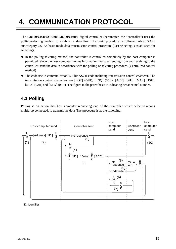## **4. COMMUNICATION PROTOCOL**

The **CB100/CB400/CB500/CB700/CB900** digital controller (hereinafter, the "controller") uses the polling/selecting method to establish a data link. The basic procedure is followed ANSI X3.28 subcategory 2.5, A4 basic mode data transmission control procedure (Fast selecting is established for selecting).

- ! In the polling/selecting method, the controller is controlled completely by the host computer is permitted. Since the host computer invites information message sending from and receiving to the controller, send the data in accordance with the polling or selecting procedure. (Centralized control method)
- ! The code use in communication is 7-bit ASCII code including transmission control character. The transmission control characters are [EOT] (04H), [ENQ] (05H), [ACK] (06H), [NAK] (15H), [STX] (02H) and [ETX] (03H). The figure in the parenthesis is indicating hexadecimal number.

#### **4.1 Polling**

Polling is an action that host computer requesting one of the controller which selected among multidrop connected, to transmit the data. The procedure is as the following.



ID: Identifier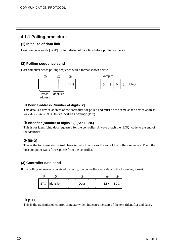#### **4.1.1 Polling procedure**

#### **(1) Initialize of data link**

Host computer sends [EOT] for initializing of data link before polling sequence.

#### **(2) Polling sequence send**

Host computer sends polling sequence with a format shown below.





#### " **Device address [Number of digits: 2]**

This data is a device address of the controller for polled and must be the same as the device address set value in item "3.3 Device address setting" (P. 7).

#### # **Identifier [Number of digits : 2] (See P. 28.)**

This is for identifying data requested for the controller. Always attach the [ENQ] code to the end of the identifier.

#### \$ **[ENQ]**

This is the transmission control character which indicates the end of the polling sequence. Then, the host computer waits for response from the controller.

#### **(3) Controller data send**

If the polling sequence is received correctly, the controller sends data in the following format.



#### " **[STX]**

This is the transmission control character which indicates the start of the text (identifier and data).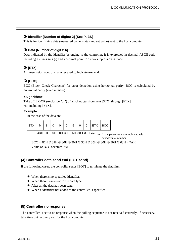#### # **Identifier [Number of digits: 2] (See P. 28.)**

This is for identifying data (measured value, status and set value) sent to the host computer.

#### **3 Data [Number of digits: 6]**

Data indicated by the identifier belonging to the controller. It is expressed in decimal ASCII code including a minus sing (-) and a decimal point. No zero suppression is made.

#### & **[ETX]**

A transmission control character used to indicate text end.

#### % **[BCC]**

BCC (Block Check Character) for error detection using horizontal parity. BCC is calculated by horizontal parity (even number).

#### **<Algorithm>**

Take off EX-OR (exclusive "or") of all character from next [STX] through [ETX]. Not including [STX].

#### **Example:**

In the case of the data are :

| STX   M   1   0   0   0   5   0   0   ETX   BCC |  |  |  |  |  |
|-------------------------------------------------|--|--|--|--|--|
|                                                 |  |  |  |  |  |

4DH 31H 30H 30H 30H 35H 30H 30H  $\leq$  In the parenthesis are indicated with hexadecimal number.

 $BCC = 4DH \oplus 31H \oplus 30H \oplus 30H \oplus 30H \oplus 35H \oplus 30H \oplus 30H \oplus 03H = 7AH$ Value of BCC becomes 7AH.

#### **(4) Controller data send end (EOT send)**

If the following cases, the controller sends [EOT] to terminate the data link.

- When there is no specified identifier.
- ! When there is an error in the data type.
- ! After all the data has been sent.
- ! When a identifier not added to the controller is specified.

#### **(5) Controller no response**

The controller is set to no response when the polling sequence is not received correctly. If necessary, take time out recovery etc. for the host computer.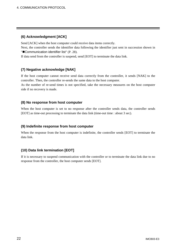#### **(6) Acknowledgment [ACK]**

Send [ACK] when the host computer could receive data items correctly.

Next, the controller sends the identifier data following the identifier just sent in succession shown in "Communication identifier list" (P. 28).

If data send from the controller is suspend, send [EOT] to terminate the data link.

#### **(7) Negative acknowledge [NAK]**

If the host computer cannot receive send data correctly from the controller, it sends [NAK] to the controller. Then, the controller re-sends the same data to the host computer.

As the number of re-send times is not specified, take the necessary measures on the host computer side if no recovery is made.

#### **(8) No response from host computer**

When the host computer is set to no response after the controller sends data, the controller sends [EOT] as time-out processing to terminate the data link (time-out time : about 3 sec).

#### **(9) Indefinite response from host computer**

When the response from the host computer is indefinite, the controller sends [EOT] to terminate the data link.

#### **(10) Data link termination [EOT]**

If it is necessary to suspend communication with the controller or to terminate the data link due to no response from the controller, the host computer sends [EOT].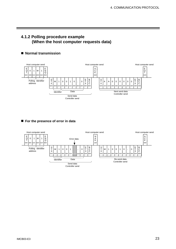#### **4.1.2 Polling procedure example (When the host computer requests data)**

#### ■ Normal transmission



#### ■ For the presence of error in data

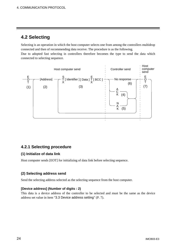#### **4.2 Selecting**

Selecting is an operation in which the host computer selects one from among the controllers multidrop connected and then of recommending data receive. The procedure is as the following.

Due to adopted fast selecting in controllers therefore becomes the type to send the data which connected to selecting sequence.



#### **4.2.1 Selecting procedure**

#### **(1) Initialize of data link**

Host computer sends [EOT] for initializing of data link before selecting sequence.

#### **(2) Selecting address send**

Send the selecting address selected as the selecting sequence from the host computer.

#### **[Device address] (Number of digits : 2)**

This data is a device address of the controller to be selected and must be the same as the device address set value in item "3.3 Device address setting" (P. 7).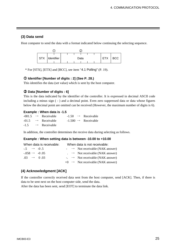#### **(3) Data send**

Host computer to send the data with a format indicated below continuing the selecting sequence.



\* For [STX], [ETX] and [BCC], see item "4.1 Polling" (P. 19).

#### " **Identifier [Number of digits : 2] (See P. 28.)**

This identifies the data (set value) which is sent by the host computer.

#### # **Data [Number of digits : 6]**

This is the data indicated by the identifier of the controller. It is expressed in decimal ASCII code including a minus sign ( - ) and a decimal point. Even zero suppressed data or data whose figures below the decimal point are omitted can be received (However, the maximum number of digits is 6).

#### **Example : When data is -1.5**

|  | $-001.5 \rightarrow$ Receivable | $-1.50 \rightarrow$ Receivable  |
|--|---------------------------------|---------------------------------|
|  | $-01.5 \rightarrow$ Receivable  | $-1.500 \rightarrow$ Receivable |
|  | $-1.5 \rightarrow$ Receivable   |                                 |

In addition, the controller determines the receive data during selecting as follows.

#### **Example : When setting data is between -10.00 to +10.00**

| When data is receivable:   | When data is not receivable:                           |
|----------------------------|--------------------------------------------------------|
| $-5 \rightarrow -0.5$      | $\rightarrow$ Not receivable (NAK answer)              |
| $-0.058 \rightarrow -0.05$ | $\therefore$ $\rightarrow$ Not receivable (NAK answer) |
| $.03 \rightarrow 0.03$     | $\vdash$ $\rightarrow$ Not receivable (NAK answer)     |
|                            | $+0 \rightarrow$ Not receivable (NAK answer)           |

#### **(4) Acknowledgment [ACK]**

If the controller correctly received data sent from the host computer, send [ACK]. Then, if there is data to be sent next on the host computer side, send the data.

After the data has been sent, send [EOT] to terminate the data link.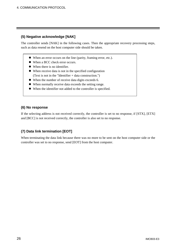#### **(5) Negative acknowledge [NAK]**

The controller sends [NAK] in the following cases. Then the appropriate recovery processing steps, such as data resend on the host computer side should be taken.

- ! When an error occurs on the line (parity, framing error, etc.).
- ! When a BCC check error occurs.
- When there is no identifier.
- ! When receive data is not in the specified configuration (Text is not in the "Identifier + data construction.")
- ! When the number of receive data digits exceeds 6.
- ! When normally receive data exceeds the setting range.
- ! When the identifier not added to the controller is specified.

#### **(6) No response**

If the selecting address is not received correctly, the controller is set to no response, if [STX], [ETX] and [BCC] is not received correctly, the controller is also set to no response.

#### **(7) Data link termination [EOT]**

When terminating the data link because there was no more to be sent on the host computer side or the controller was set to no response, send [EOT] from the host computer.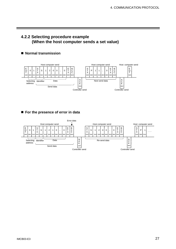#### **4.2.2 Selecting procedure example (When the host computer sends a set value)**

#### ■ Normal transmission



#### ■ For the presence of error in data

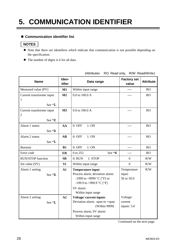### **5. COMMUNICATION IDENTIFIER**

#### ■ Communication identifier list

#### **NOTES**

- ! Note that there are identifiers which indicate that communication is not possible depending on the specification.
- ! The number of digits is 6 for all data.

| <b>Name</b>               | Iden-<br>tifier        | Data range                                                       | <b>Factory set</b><br>value | <b>Attribute</b> |
|---------------------------|------------------------|------------------------------------------------------------------|-----------------------------|------------------|
| Measured value (PV)       | M1                     | Within input range                                               |                             | RO               |
| Current transformer input | M <sub>2</sub>         | 0.0 to 100.0 A                                                   |                             | RO               |
| $\mathbf{1}$              |                        |                                                                  |                             |                  |
| See $*1$ .                |                        |                                                                  |                             |                  |
| Current transformer input | M3                     | 0.0 to 100.0 A                                                   |                             | RO               |
| $\overline{2}$            |                        |                                                                  |                             |                  |
| See *2.                   |                        |                                                                  |                             |                  |
| Alarm 1 status            | AA                     | $0:$ OFF<br>1:ON                                                 | ----                        | RO               |
| See $*3$ .                |                        |                                                                  |                             |                  |
| Alarm 2 status            | $\mathbf{A}\mathbf{B}$ | $0:$ OFF<br>1:ON                                                 |                             | RO               |
| See $*1$ .                |                        |                                                                  |                             |                  |
| <b>Burnout</b>            | B1                     | 1:ON<br>$0:$ OFF                                                 |                             | RO               |
| Error code                | ER                     | See $*4$ .<br>0 to 255                                           | $-$ ---                     | RO               |
| <b>RUN/STOP</b> function  | <b>SR</b>              | 1:STOP<br>0: RUN                                                 | $\overline{0}$              | R/W              |
| Set value (SV)            | S1                     | Within input range                                               | $\theta$                    | R/W              |
| Alarm 1 setting           | $\mathbf{A1}$          | <b>Temperature input</b>                                         | Temperature                 | R/W              |
| See $*3$ .                |                        | Process alarm, deviation alarm:                                  | input:                      |                  |
|                           |                        | -1999 to +9999 $^{\circ}$ C [ $^{\circ}$ F] or                   | 50 or 50.0                  |                  |
|                           |                        | -199.9 to +999.9 °C [°F]                                         |                             |                  |
|                           |                        | SV alarm:                                                        |                             |                  |
|                           |                        | Within input range                                               |                             |                  |
| Alarm 2 setting           | A2                     | <b>Voltage/current inputs</b><br>Deviation alarm: -span to +span | Voltage/<br>current         |                  |
| See *1.                   |                        | (Within 9999)                                                    | inputs: 5.0                 |                  |
|                           |                        | Process alarm, SV alarm:                                         |                             |                  |
|                           |                        |                                                                  |                             |                  |
|                           |                        | Within input range                                               |                             |                  |

(Attributes RO: Read only, R/W: Read/Write)

Continued on the next page.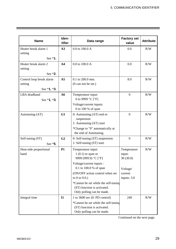| <b>Name</b>                                        | Iden-<br>tifier | Data range                                                                                                                                                                                                                                                                           | <b>Factory set</b><br>value                                             | <b>Attribute</b> |
|----------------------------------------------------|-----------------|--------------------------------------------------------------------------------------------------------------------------------------------------------------------------------------------------------------------------------------------------------------------------------------|-------------------------------------------------------------------------|------------------|
| Heater break alarm 1<br>setting<br>See $*1$ .      | A3              | 0.0 to 100.0 A                                                                                                                                                                                                                                                                       | 0.0                                                                     | R/W              |
| Heater break alarm 2<br>setting<br>See $*2$ .      | A <sub>4</sub>  | 0.0 to 100.0 A                                                                                                                                                                                                                                                                       | 0.0                                                                     | R/W              |
| Control loop break alarm<br>setting<br>See *1, *3. | A <sub>5</sub>  | 0.1 to 200.0 min.<br>$(0 \text{ can not be set.})$                                                                                                                                                                                                                                   | 8.0                                                                     | R/W              |
| LBA deadband<br>See *1, *3.                        | A6              | Temperature input:<br>0 to 9999 °C [°F]<br>Voltage/current inputs:<br>0 to 100 % of span                                                                                                                                                                                             | $\boldsymbol{0}$                                                        | R/W              |
| Autotuning (AT)                                    | G1              | 0: Autotuning $(AT)$ end or<br>suspension<br>1: Autotuning (AT) start<br>*Change to "0" automatically at<br>the end of Autotuning.                                                                                                                                                   | $\boldsymbol{0}$                                                        | R/W              |
| Self-tuning (ST)<br>See *5.                        | G <sub>2</sub>  | 0: Self-tuning (ST) suspension<br>1: Self-tuning (ST) start                                                                                                                                                                                                                          | $\mathbf{0}$                                                            | R/W              |
| Heat-side proportional<br>band                     | <b>P1</b>       | Temperature input:<br>$1(0.1)$ to span or<br>9999 (999.9) °C [°F]<br>Voltage/current inputs :<br>0.1 to 100.0 % of span<br>(ON/OFF action control when set<br>to $0$ or $0.0$ .)<br>*Cannot be set while the self-tuning<br>(ST) function is activated.<br>Only polling can be made. | Temperature<br>input:<br>30(30.0)<br>Voltage/<br>current<br>inputs: 3.0 | R/W              |
| Integral time                                      | <b>I1</b>       | 1 to $3600$ sec (0: PD control)<br>*Cannot be set while the self-tuning<br>(ST) function is activated.<br>Only polling can be made.                                                                                                                                                  | 240                                                                     | R/W              |

Continued on the next page.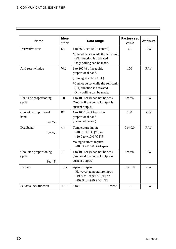| <b>Name</b>                                 | Iden-<br>tifier | Data range                                                                                                                                                                 | <b>Factory set</b><br>value | <b>Attribute</b> |
|---------------------------------------------|-----------------|----------------------------------------------------------------------------------------------------------------------------------------------------------------------------|-----------------------------|------------------|
| Derivative time                             | D1              | 1 to 3600 sec $(0: PI control)$                                                                                                                                            | 60                          | R/W              |
|                                             |                 | *Cannot be set while the self-tuning<br>(ST) function is activated.<br>Only polling can be made.                                                                           |                             |                  |
| Anti-reset windup                           | W1              | 1 to 100 % of heat-side<br>proportional band.<br>(0: integral action OFF)<br>*Cannot be set while the self-tuning                                                          | 100                         | R/W              |
|                                             |                 | (ST) function is activated.<br>Only polling can be made.                                                                                                                   |                             |                  |
| Heat-side proportioning<br>cycle            | T <sub>0</sub>  | 1 to 100 sec $(0 \text{ can not be set.})$<br>(Not set if the control output is<br>current output.)                                                                        | See *6.                     | R/W              |
| Cool-side proportional<br>band<br>See *7.   | P <sub>2</sub>  | 1 to 1000 % of heat-side<br>proportional band<br>$(0 \text{ can not be set.})$                                                                                             | 100                         | R/W              |
| Deadband<br>See *7.                         | V1              | Temperature input:<br>-10 to +10 $^{\circ}$ C [ $^{\circ}$ F] or<br>-10.0 to +10.0 $^{\circ}$ C [ $^{\circ}$ F]<br>Voltage/current inputs:<br>$-10.0$ to $+10.0$ % of span | $0$ or $0.0$                | R/W              |
| Cool-side proportioning<br>cycle<br>See *7. | <b>T1</b>       | 1 to 100 sec $(0 \text{ can not be set.})$<br>(Not set if the control output is<br>current output.)                                                                        | See $*8$ .                  | R/W              |
| PV bias                                     | PB              | -span to +span<br>However, temperature input:<br>-1999 to +9999 $^{\circ}$ C [ $^{\circ}$ F] or<br>-199.9 to +999.9 °C [°F]                                                | $0$ or $0.0$                | R/W              |
| Set data lock function                      | LK              | See *9.<br>$0$ to $7$                                                                                                                                                      | $\boldsymbol{0}$            | R/W              |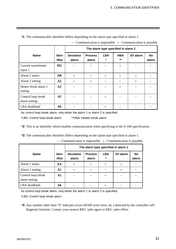|                                     |                        | The alarm type specified in alarm 2 |                         |                      |                     |          |                    |  |  |
|-------------------------------------|------------------------|-------------------------------------|-------------------------|----------------------|---------------------|----------|--------------------|--|--|
| <b>Name</b>                         | Iden-<br>tifier        | <b>Deviation</b><br>alarm           | <b>Process</b><br>alarm | <b>LBA</b><br>$\ast$ | <b>HBA</b><br>$***$ | SV alarm | <b>No</b><br>alarm |  |  |
| Current transformer<br>input 1      | $\mathbf{M2}$          |                                     |                         |                      | $\times$            |          |                    |  |  |
| Alarm 2 status                      | $\mathbf{A}\mathbf{B}$ | $\times$                            | $\times$                | $\times$             | $\times$            | $\times$ |                    |  |  |
| Alarm 2 setting                     | A2                     | $\times$                            | $\times$                |                      |                     | $\times$ |                    |  |  |
| Heater break alarm 1<br>setting     | A3                     |                                     |                         |                      | $\times$            |          |                    |  |  |
| Control loop break<br>alarm setting | A <sub>5</sub>         |                                     |                         | $\times$             |                     |          |                    |  |  |
| LBA deadband                        | A6                     |                                     |                         | $\times$             |                     |          |                    |  |  |

\***1**: The communicable identifier differs depending on the alarm type specified in alarm 2.

 $-$ : Communication is impossible  $\times$ : Communication is possible

As control loop break alarm, only either the alarm 1 or alarm 2 is specified.

\*LBA: Control loop break alarm \*\*HBA: Heater break alarm

\***2**: This is an identifier which enables communication when specifying to the Z-168 specification.

\***3**: The communicable identifier differs depending on the alarm type specified in alarm 1.

|                                     |                 | The alarm type specified in alarm 1 |                         |                       |          |                    |  |  |  |
|-------------------------------------|-----------------|-------------------------------------|-------------------------|-----------------------|----------|--------------------|--|--|--|
| <b>Name</b>                         | Iden-<br>tifier | <b>Deviation</b><br>alarm           | <b>Process</b><br>alarm | <b>LBA</b><br>$\star$ | SV alarm | <b>No</b><br>alarm |  |  |  |
| Alarm 1 status                      | AA              | $\times$                            | $\times$                | $\times$              | $\times$ |                    |  |  |  |
| Alarm 1 setting                     | A1              | $\times$                            | $\times$                |                       | $\times$ |                    |  |  |  |
| Control loop break<br>alarm setting | A <sub>5</sub>  |                                     |                         | $\times$              |          |                    |  |  |  |
| LBA deadband                        | A6              |                                     |                         | $\times$              |          |                    |  |  |  |

 $-$ : Communication is impossible  $\times$ : Communication is possible

As control loop break alarm, only either the alarm 1 or alarm 2 is specified.

\*LBA: Control loop break alarm

\***4**: Any number other than "0" indicates errors (RAM write error, etc.) detected by the controller selfdiagnosis function. Contact your nearest RKC sales agent or RKC sales office.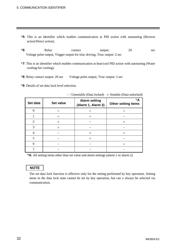#### 5. COMMUNICATION IDENTIFIER

- \***5**: This is an identifier which enables communication at PID action with autotuning (Reverse action/Direct action).
- \***6**: Relay contact output: 20 sec Voltage pulse output, Trigger output for triac driving, Triac output: 2 sec
- \***7**: This is an identifier which enables communication at heat/cool PID action with autotuning (Water cooling/Air cooling).
- \***8**: Relay contact output: 20 sec Voltage pulse output, Triac output: 2 sec
- \***9**: Details of set data lock level selection.

| Set data       | Set value | <b>Alarm setting</b><br>(Alarm 1, Alarm 2) | $*{\bf A}$<br><b>Other setting items</b> |
|----------------|-----------|--------------------------------------------|------------------------------------------|
| $\overline{0}$ | $\times$  | $\times$                                   | $\times$                                 |
|                | $\times$  | $\times$                                   |                                          |
| $\overline{2}$ | $\times$  |                                            | $\times$                                 |
| 3              | $\times$  |                                            |                                          |
| 4              |           | $\times$                                   | $\times$                                 |
| 5              |           | $\times$                                   |                                          |
| 6              |           |                                            | $\times$                                 |
| ¬              |           |                                            |                                          |

-: Unsettable (Data locked)  $\times$ : Settable (Data unlocked)

**\*A**: All setting items other than set value and alarm settings (alarm 1 or alarm 2).

#### **NOTE**

The set data lock function is effective only for the setting performed by key operation. Setting items in the data lock state cannot be set by key operation, but can a always be selected via communication.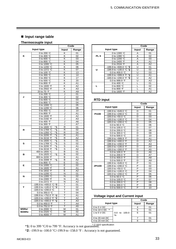#### ■ Input range table

#### **Thermocouple input**

|       |                                          | Code   |                                  |  |  |  |
|-------|------------------------------------------|--------|----------------------------------|--|--|--|
|       | Input type                               | Input  | Range                            |  |  |  |
|       | 0 to 200 °C                              | K      | 01                               |  |  |  |
| κ     | 0 to 400 $\degree$ C                     | Κ      | 02                               |  |  |  |
|       | 0 to 600 $\degree$ C                     | κ      | 03                               |  |  |  |
|       | 0 to 800 $\degree$ C                     | κ      | 04                               |  |  |  |
|       | 0 to 1000 °C                             | Κ      | 05                               |  |  |  |
|       | 0 to 1200 °C                             | Κ      | 06                               |  |  |  |
|       | 0 to 1372 °C                             | Κ      | 07                               |  |  |  |
|       | 0 to 100 °C                              | Κ      | 13                               |  |  |  |
|       | 0 to 300 °C                              | κ      | 14                               |  |  |  |
|       | 0 to 450 $°C$                            | Κ      | 17                               |  |  |  |
|       | 0 to 500 °C                              | Κ      | 20                               |  |  |  |
|       | 0 to 800 °F                              | Κ      | A1                               |  |  |  |
|       | 0 to $1600 °F$                           | Κ      | A2                               |  |  |  |
|       | 0 to 2502 °F                             | Κ      | A <sub>3</sub>                   |  |  |  |
|       | 20 to $70 °F$                            | κ      | A <sub>9</sub>                   |  |  |  |
|       | 0 to 200 °C                              | J      | 01                               |  |  |  |
| J     | 0 to 400 $\degree$ C                     | J      | 02                               |  |  |  |
|       | 0 to 600 °C                              | J      | 03                               |  |  |  |
|       | 0 to 800 $°C$                            | J      | 04                               |  |  |  |
|       | 0 to 1000 °C                             | J      | 05                               |  |  |  |
|       | 0 to 1200 °C                             | J      | 06                               |  |  |  |
|       | 0 to 450 $\degree$ C                     | J      | 10                               |  |  |  |
|       | 0 to 800 $\degree$ F                     | J      | A1                               |  |  |  |
|       | 0 to 1600 °F                             | J      | A2                               |  |  |  |
|       | 0 to 2192 °F                             | J      | A <sub>3</sub>                   |  |  |  |
|       | 0 to 400 $\degree$ F                     | J      | A6                               |  |  |  |
|       | 0 to 300 °F                              | J      | A7                               |  |  |  |
|       | 0 to 1600 °C<br>$*1$                     | R      | 01                               |  |  |  |
| R     | 0 to 1769 °C<br>$*1$                     | R      | 02                               |  |  |  |
|       | 0 to 1350 °C<br>$*1$                     | R      | 04                               |  |  |  |
|       | 0 to 3200 °F<br>*1                       | R      | A1                               |  |  |  |
|       | 0 to 3216 °F<br>$*1$                     | R      | $\overline{A2}$                  |  |  |  |
|       | 0 to 1600 °C<br>*1                       | S      | 01                               |  |  |  |
| s     | 0 to 1769 °C<br>$*1$                     | S      | 02                               |  |  |  |
|       | 0 to 3200 °F<br>$*1$                     | S      | A1                               |  |  |  |
|       | 0 to 3216 °F<br>$*1$                     | S      | A2                               |  |  |  |
|       | 400 to 1800 °C                           | В      | 01                               |  |  |  |
| в     | 0 to 1820 °C<br>$*1$                     | B      | 02                               |  |  |  |
|       | 800 to 3200 °F                           | В      | A <sub>1</sub>                   |  |  |  |
|       | 0 to 3308 °F<br>*1                       | в      | A2                               |  |  |  |
|       | 0 to 800 $\degree$ C                     | E      | 01                               |  |  |  |
| Е     | 0 to 1000 °C                             | E      | 02                               |  |  |  |
|       | 0 to 1600 °F<br>0 to 1832 °F             | Ε<br>E | A <sub>1</sub><br>A <sub>2</sub> |  |  |  |
|       | 0 to 1200 °C                             | N      | 01                               |  |  |  |
| N     | 0 to 1300 °C                             | N      | 02                               |  |  |  |
|       | 0 to 2300 °F                             | N      | Α1                               |  |  |  |
|       | 0 to 2372 °F                             | N      | A2                               |  |  |  |
|       | -199.9 to +400.0 $\degree$ C $\degree$ 2 | Т      | 01                               |  |  |  |
| т     | -199.9 to +100.0 $\degree$ C $\degree$ 2 | т      | 02                               |  |  |  |
|       | -100.0 to +200.0 $\degree$ C             | т      | 03                               |  |  |  |
|       | 0.0 to 350.0 $\degree$ C                 | т      | 04                               |  |  |  |
|       | -199.9 to +752.0 $\degree$ F *2          | т      | A <sub>1</sub>                   |  |  |  |
|       | -100.0 to +200.0 °F $*2$                 | т      | A2                               |  |  |  |
|       | -100.0 to +400.0 $\degree$ F *2          | т      | A3                               |  |  |  |
|       | 0.0 to 450.0 °F                          | T      | $\overline{A4}$                  |  |  |  |
|       | 0.0 to 752.0 °F                          | т      | A5                               |  |  |  |
| W5Re/ | 0 to 2000 $\degree$ C                    | W      | 01                               |  |  |  |
| W26Re | 0 to 2320 °C                             | W      | 02                               |  |  |  |
|       | 0 to 4000 $\sqrt{\text{F}}$              | W      | A1                               |  |  |  |
|       |                                          |        |                                  |  |  |  |

|       |                           | Code  |                |
|-------|---------------------------|-------|----------------|
|       | Input type                | Input | Range          |
|       | 0 to 1300 $\degree$ C     | А     | 01             |
| PL II | 0 to 1390 °C              | Α     | 02             |
|       | 0 to 1200 °C              | А     | 03             |
|       | 0 to 2400 °F              | Α     | A1             |
|       | 0 to 2534 °F              | А     | A2             |
|       | -199.9 to +600.0 °C $*2$  | U     | 01             |
| U     | -199.9 to +100.0 °C $*$ 2 | U     | 02             |
|       | 0.0 to 400.0 $\degree$ C  | U     | 03             |
|       | -199.9 to +999.9 °F *2    | U     | A <sub>1</sub> |
|       | -100.0 to +200.0 °F *2    | U     | A2             |
|       | 0.0 to 999.9 °F           | Ū     | A3             |
|       | 0 to 400 $\degree$ C      |       | 01             |
|       | 0 to 800 $\degree$ C      |       | 02             |
|       | 0 to 800 °F               |       | A1             |
|       | 0 to 1600 $\degree$ F     |       | A2             |

#### **RTD input**

|               |                                 | Code                    |                |  |  |
|---------------|---------------------------------|-------------------------|----------------|--|--|
|               | Input type                      | Input                   | Range          |  |  |
|               | -199.9 to +649.0 $\degree$ C    | D                       | 01             |  |  |
| Pt100         | -199.9 to +200.0 $^{\circ}$ C   | D                       | 02             |  |  |
|               | -100.0 to +50.0 $^{\circ}$ C    | D                       | 03             |  |  |
|               | -100.0 to +100.0 $^{\circ}$ C   | D                       | 04             |  |  |
|               | -100.0 to +200.0 $^{\circ}$ C   | D                       | 05             |  |  |
|               | 0.0 to 50.0 $\degree$ C         | D                       | 06             |  |  |
|               | 0.0 to 100.0 °C                 | D                       | 07             |  |  |
|               | 0.0 to 200.0 °C                 | D                       | 08             |  |  |
|               | 0.0 to 300.0 °C                 | D                       | 09             |  |  |
|               | 0.0 to 500.0 $^{\circ}$ C       | D                       | 10             |  |  |
|               | -199.9 to +999.9 °F             | D                       | A1             |  |  |
|               | -199.9 to +400.0 °F             | D                       | A <sub>2</sub> |  |  |
|               | -199.9 to +200.0 °F             | D                       | A <sub>3</sub> |  |  |
|               | -100.0 to +100.0 °F             | D                       | A4             |  |  |
|               | -100.0 to +300.0 $\,^{\circ}$ F | D                       | A5             |  |  |
|               | 0.0 to 100.0 °F                 | D                       | A6             |  |  |
|               | 0.0 to 200.0 °F                 | D                       | A7             |  |  |
|               | 0.0 to 400.0 $\,^{\circ}$ F     | D                       | A8             |  |  |
|               | 0.0 to 500.0 °F                 | D                       | A9             |  |  |
|               | -199.9 to +649.0 $^{\circ}$ C   | P                       | 01             |  |  |
| <b>JPt100</b> | -199.9 to +200.0 °C             | P                       | 02             |  |  |
|               | -100.0 to +50.0 $^{\circ}$ C    | P                       | 03             |  |  |
|               | -100.0 to +100.0 $^{\circ}$ C   | P                       | 04             |  |  |
|               | -100.0 to +200.0 $\degree$ C    | P                       | 05             |  |  |
|               | 0.0 to 50.0 $^{\circ}$ C        | P                       | 06             |  |  |
|               | 0.0 to 100.0 °C                 | P                       | 07             |  |  |
|               | 0.0 to 200.0 °C                 | P                       | 08             |  |  |
|               | 0.0 to 300.0 °C                 | $\overline{\mathsf{P}}$ | 09             |  |  |
|               | 0.0 to 500.0 °C                 | $\overline{P}$          | 10             |  |  |

#### **Voltage input and Current input**

|                        | Code                 |       |    |  |
|------------------------|----------------------|-------|----|--|
| Input type             | Input                | Range |    |  |
| 0 to 5 $\vee$ DC       |                      |       | 01 |  |
| 0 to 10 $\vee$ DC<br>* |                      | 5     | 01 |  |
| 1 to 5 $V$ DC          | 0.0 to 100.0<br>$\%$ | 6     | 01 |  |
| 0 to 20 $mA$ DC        |                      |       | 01 |  |
| 4 to 20 mA DC          |                      |       | 01 |  |

\* Z-1010 specification \***1:** 0 to 399 !C/0 to 799 !F: Accuracy is not guaranteed.

\*2: -199.9 to -100.0 °C/-199.9 to -158.0 °F : Accuracy is not guaranteed.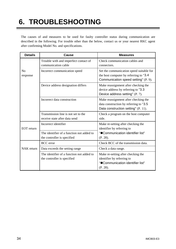### **6. TROUBLESHOOTING**

The causes of and measures to be used for faulty controller status during communication are described in the following. For trouble other than the below, contact us or your nearest RKC agent after confirming Model No. and specifications.

| <b>Details</b>             | <b>Cause</b>                                                             | <b>Measures</b>                                                                                                             |  |  |
|----------------------------|--------------------------------------------------------------------------|-----------------------------------------------------------------------------------------------------------------------------|--|--|
|                            | Trouble with and imperfect contact of<br>communication cable             | Check communication cables and<br>connectors.                                                                               |  |  |
| N <sub>0</sub><br>response | Incorrect communication speed                                            | Set the communication speed suitable for<br>the host computer by referring to "3.4"<br>Communication speed setting" (P. 9). |  |  |
|                            | Device address designation differs                                       | Make reassignment after checking the<br>device address by referring to "3.3<br>Device address setting" (P. 7).              |  |  |
|                            | Incorrect data construction                                              | Make reassignment after checking the<br>data construction by referring to "3.5<br>Data construction setting" (P. 11).       |  |  |
|                            | Transmission line is not set to the<br>receive state after data send     | Check a program on the host computer<br>side.                                                                               |  |  |
| <b>EOT</b> return          | Incorrect identifier                                                     | Make re-setting after checking the<br>identifier by referring to                                                            |  |  |
|                            | The identifier of a function not added to<br>the controller is specified | "Communication identifier list"<br>(P. 28).                                                                                 |  |  |
|                            | <b>BCC</b> error                                                         | Check BCC of the transmission data.                                                                                         |  |  |
| <b>NAK</b> return          | Data exceeds the setting range                                           | Check a data range.                                                                                                         |  |  |
|                            | The identifier of a function not added to<br>the controller is specified | Make re-setting after checking the<br>identifier by referring to<br>"Communication identifier list"<br>(P. 28).             |  |  |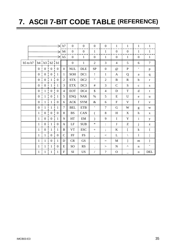### **7. ASCII 7-BIT CODE TABLE (REFERENCE)**

|          |                |                                                          |                                            |                   | b7             | $\boldsymbol{0}$       | $\overline{0}$       | $\boldsymbol{0}$         | $\boldsymbol{0}$ | $\mathbf{1}$              | $\mathbf{1}$          | $\mathbf{1}$              | $\mathbf{1}$                                          |
|----------|----------------|----------------------------------------------------------|--------------------------------------------|-------------------|----------------|------------------------|----------------------|--------------------------|------------------|---------------------------|-----------------------|---------------------------|-------------------------------------------------------|
|          |                |                                                          |                                            | $\Rightarrow$     | b6             | $\boldsymbol{0}$       | $\boldsymbol{0}$     | $\mathbf{1}$             | $\mathbf{1}$     | $\boldsymbol{0}$          | $\boldsymbol{0}$      | $\mathbf{1}$              | $\mathbf{1}$                                          |
|          |                |                                                          |                                            | $\Rightarrow$     | b <sub>5</sub> | $\mathbf{0}$           | $\mathbf{1}$         | $\boldsymbol{0}$         | $\mathbf{1}$     | $\mathbf{0}$              | $\mathbf{1}$          | $\boldsymbol{0}$          | $\mathbf{1}$                                          |
| b5 to b7 |                | $b4$ $b3$ $b2$ $b1$                                      |                                            |                   |                | $\boldsymbol{0}$       | $\mathbf{1}$         | $\overline{2}$           | 3                | $\overline{4}$            | 5                     | 6                         | $\tau$                                                |
|          |                | $0 \t0 \t0 \t0$                                          |                                            |                   | $\overline{0}$ | <b>NUL</b>             | <b>DLE</b>           | <b>SP</b>                | $\overline{0}$   | $\omega$                  | $\mathbf{P}$          | $\epsilon$                | $\, {\bf p}$                                          |
|          |                | $0 \t 0 \t 0 \t 1$                                       |                                            |                   | $\mathbf{1}$   | SOH                    | DC1                  | Ţ                        | $\mathbf{1}$     | $\mathbf{A}$              | Q                     | a                         | $\mathbf{q}$                                          |
|          |                | $0 \t 0 \t 1 \t 0$                                       |                                            |                   | $\overline{2}$ | <b>STX</b>             | DC2                  | $, \,$                   | $\overline{2}$   | $\, {\bf B}$              | $\mathbf R$           | $\mathbf b$               | $\bf r$                                               |
|          |                | $0 \quad 0$                                              | $\frac{1}{1}$ 1                            |                   | 3              | $\operatorname{ETX}$   | DC3                  | $\#$                     | 3                | $\mathbf C$               | S                     | $\mathbf{C}$              | S                                                     |
|          | 0 <sup>1</sup> |                                                          | $\begin{array}{c c} 1 & 0 & 0 \end{array}$ |                   | $\overline{4}$ | <b>EOT</b>             | DC4                  | \$                       | $\overline{4}$   | D                         | $\mathbf T$           | d                         | $\mathbf t$                                           |
|          |                | $0 \t1 \t0 \t1$                                          |                                            |                   | 5              | <b>ENQ</b>             | $\operatorname{NAK}$ | $\%$                     | 5                | ${\bf E}$                 | U                     | ${\rm e}$                 | u                                                     |
|          |                | $0 \t1 \t1 \t0$                                          |                                            |                   | 6              | ${\rm ACK}$            | <b>SYM</b>           | $\&$                     | 6                | ${\bf F}$                 | $\mathbf V$           | $\mathbf f$               | $\mathbf{V}$                                          |
|          |                | $0 \t1 \t1 \t1$                                          |                                            |                   | $\overline{7}$ | <b>BEL</b>             | <b>ETB</b>           | $^\bullet$               | $\tau$           | G                         | W                     | g                         | W                                                     |
|          |                | $1 \qquad 0 \qquad 0 \qquad 0$                           |                                            |                   | 8              | $\mathbf{B}\mathbf{S}$ | CAN                  | $\overline{(\ }$         | $8\,$            | $\boldsymbol{\mathrm{H}}$ | $\mathbf X$           | $\boldsymbol{\textbf{h}}$ | $\mathbf X$                                           |
|          |                | $1 \quad 0$                                              |                                            | $0 \tbinom{1}{1}$ | 9              | HT                     | EM                   | $\mathcal{L}$            | 9                | $\mathbf I$               | Y                     | $\mathbf{i}$              | y                                                     |
|          |                | $1 \t0 \t1 \t0$                                          |                                            |                   | A              | LF                     | <b>SUB</b>           | $\ast$                   | $\ddot{\cdot}$   | $\mathbf{J}$              | Z                     | $\mathbf{j}$              | $\mathbf{Z}% ^{T}=\mathbf{Z}^{T}\times\mathbf{Z}^{T}$ |
|          |                | $1 \quad 0 \quad 1 \quad 1$                              |                                            |                   | $\bf{B}$       | <b>VT</b>              | <b>ESC</b>           | $+$                      | $\vdots$         | $\bf K$                   | <sub>[</sub>          | $\bf k$                   | $\{$                                                  |
|          |                | $\begin{array}{ccccccccc}\n1 & 1 & 0 & 0 \\ \end{array}$ |                                            |                   | $\mathsf{C}$   | FF                     | $\mathop{\text{FS}}$ | $\overline{\phantom{a}}$ | $\,<$            | L                         | $\setminus$           | $\mathbf{1}$              | $\overline{a}$                                        |
|          |                | $1 \t1 \t0 \t1$                                          |                                            |                   | D              | CR                     | <b>GS</b>            | $\overline{\phantom{0}}$ | $=$              | M                         | l                     | m                         | $\}$                                                  |
|          |                | $1 \t1 \t1 \t0$                                          |                                            |                   | E              | SO <sub>1</sub>        | <b>RS</b>            | $\ddot{\phantom{0}}$     | >                | ${\bf N}$                 | $\boldsymbol{\wedge}$ | $\mathbf n$               | $\widetilde{\phantom{m}}$                             |
|          |                | $1 \cdot 1$                                              | $1 \cdot 1$                                |                   | F              | <b>SI</b>              | <b>US</b>            | $\sqrt{2}$               | $\overline{?}$   | $\mathbf{O}$              |                       | ${\bf O}$                 | <b>DEL</b>                                            |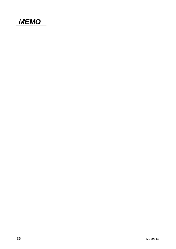